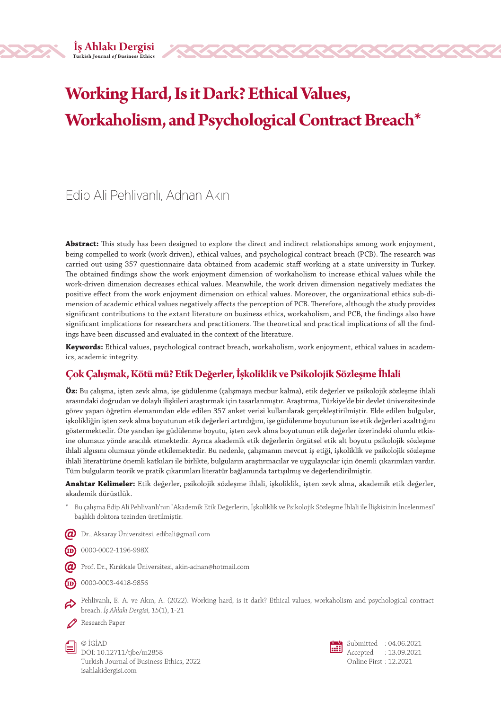# **Working Hard, Is it Dark? Ethical Values, Workaholism, and Psychological Contract Breach\***

# Edib Ali Pehlivanlı, Adnan Akın

**Abstract:** This study has been designed to explore the direct and indirect relationships among work enjoyment, being compelled to work (work driven), ethical values, and psychological contract breach (PCB). The research was carried out using 357 questionnaire data obtained from academic staff working at a state university in Turkey. The obtained findings show the work enjoyment dimension of workaholism to increase ethical values while the work-driven dimension decreases ethical values. Meanwhile, the work driven dimension negatively mediates the positive effect from the work enjoyment dimension on ethical values. Moreover, the organizational ethics sub-dimension of academic ethical values negatively affects the perception of PCB. Therefore, although the study provides significant contributions to the extant literature on business ethics, workaholism, and PCB, the findings also have significant implications for researchers and practitioners. The theoretical and practical implications of all the findings have been discussed and evaluated in the context of the literature.

**Keywords:** Ethical values, psychological contract breach, workaholism, work enjoyment, ethical values in academics, academic integrity.

# **Çok Çalışmak, Kötü mü? Etik Değerler, İşkoliklik ve Psikolojik Sözleşme İhlali**

**Öz:** Bu çalışma, işten zevk alma, işe güdülenme (çalışmaya mecbur kalma), etik değerler ve psikolojik sözleşme ihlali arasındaki doğrudan ve dolaylı ilişkileri araştırmak için tasarlanmıştır. Araştırma, Türkiye'de bir devlet üniversitesinde görev yapan öğretim elemanından elde edilen 357 anket verisi kullanılarak gerçekleştirilmiştir. Elde edilen bulgular, işkolikliğin işten zevk alma boyutunun etik değerleri artırdığını, işe güdülenme boyutunun ise etik değerleri azalttığını göstermektedir. Öte yandan işe güdülenme boyutu, işten zevk alma boyutunun etik değerler üzerindeki olumlu etkisine olumsuz yönde aracılık etmektedir. Ayrıca akademik etik değerlerin örgütsel etik alt boyutu psikolojik sözleşme ihlali algısını olumsuz yönde etkilemektedir. Bu nedenle, çalışmanın mevcut iş etiği, işkoliklik ve psikolojik sözleşme ihlali literatürüne önemli katkıları ile birlikte, bulguların araştırmacılar ve uygulayıcılar için önemli çıkarımları vardır. Tüm bulguların teorik ve pratik çıkarımları literatür bağlamında tartışılmış ve değerlendirilmiştir.

**Anahtar Kelimeler:** Etik değerler, psikolojik sözleşme ihlali, işkoliklik, işten zevk alma, akademik etik değerler, akademik dürüstlük.

- \* Bu çalışma Edip Ali Pehlivanlı'nın "Akademik Etik Değerlerin, İşkoliklik ve Psikolojik Sözleşme İhlali ile İlişkisinin İncelenmesi" başlıklı doktora tezinden üretilmiştir.
- $\bm{Q}$  Dr., Aksaray Üniversitesi, edibali@gmail.com
- (**ID** 0000-0002-1196-998X
- $\bm{Q}$  Prof. Dr., Kırıkkale Üniversitesi, akin-adnan@hotmail.com
- (ID) 0000-0003-4418-9856
- Pehlivanlı, E. A. ve Akın, A. (2022). Working hard, is it dark? Ethical values, workaholism and psychological contract breach. *İş Ahlakı Dergisi, 15*(1), 1-21
- Research Paper

© İGİAD DOI: 10.12711/tjbe/m2858 Turkish Journal of Business Ethics, 2022 isahlakidergisi.com



Submitted : 04.06.2021 Accepted : 13.09.2021 Online First : 12.2021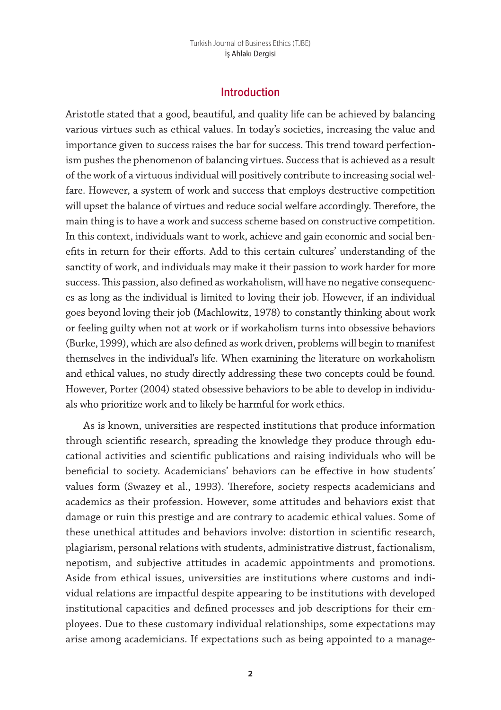## **Introduction**

Aristotle stated that a good, beautiful, and quality life can be achieved by balancing various virtues such as ethical values. In today's societies, increasing the value and importance given to success raises the bar for success. This trend toward perfectionism pushes the phenomenon of balancing virtues. Success that is achieved as a result of the work of a virtuous individual will positively contribute to increasing social welfare. However, a system of work and success that employs destructive competition will upset the balance of virtues and reduce social welfare accordingly. Therefore, the main thing is to have a work and success scheme based on constructive competition. In this context, individuals want to work, achieve and gain economic and social benefits in return for their efforts. Add to this certain cultures' understanding of the sanctity of work, and individuals may make it their passion to work harder for more success. This passion, also defined as workaholism, will have no negative consequences as long as the individual is limited to loving their job. However, if an individual goes beyond loving their job (Machlowitz, 1978) to constantly thinking about work or feeling guilty when not at work or if workaholism turns into obsessive behaviors (Burke, 1999), which are also defined as work driven, problems will begin to manifest themselves in the individual's life. When examining the literature on workaholism and ethical values, no study directly addressing these two concepts could be found. However, Porter (2004) stated obsessive behaviors to be able to develop in individuals who prioritize work and to likely be harmful for work ethics.

As is known, universities are respected institutions that produce information through scientific research, spreading the knowledge they produce through educational activities and scientific publications and raising individuals who will be beneficial to society. Academicians' behaviors can be effective in how students' values form (Swazey et al., 1993). Therefore, society respects academicians and academics as their profession. However, some attitudes and behaviors exist that damage or ruin this prestige and are contrary to academic ethical values. Some of these unethical attitudes and behaviors involve: distortion in scientific research, plagiarism, personal relations with students, administrative distrust, factionalism, nepotism, and subjective attitudes in academic appointments and promotions. Aside from ethical issues, universities are institutions where customs and individual relations are impactful despite appearing to be institutions with developed institutional capacities and defined processes and job descriptions for their employees. Due to these customary individual relationships, some expectations may arise among academicians. If expectations such as being appointed to a manage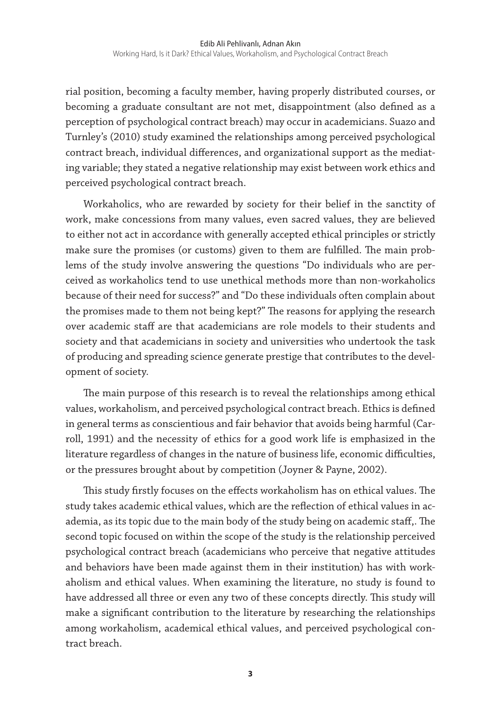rial position, becoming a faculty member, having properly distributed courses, or becoming a graduate consultant are not met, disappointment (also defined as a perception of psychological contract breach) may occur in academicians. Suazo and Turnley's (2010) study examined the relationships among perceived psychological contract breach, individual differences, and organizational support as the mediating variable; they stated a negative relationship may exist between work ethics and perceived psychological contract breach.

Workaholics, who are rewarded by society for their belief in the sanctity of work, make concessions from many values, even sacred values, they are believed to either not act in accordance with generally accepted ethical principles or strictly make sure the promises (or customs) given to them are fulfilled. The main problems of the study involve answering the questions "Do individuals who are perceived as workaholics tend to use unethical methods more than non-workaholics because of their need for success?" and "Do these individuals often complain about the promises made to them not being kept?" The reasons for applying the research over academic staff are that academicians are role models to their students and society and that academicians in society and universities who undertook the task of producing and spreading science generate prestige that contributes to the development of society.

The main purpose of this research is to reveal the relationships among ethical values, workaholism, and perceived psychological contract breach. Ethics is defined in general terms as conscientious and fair behavior that avoids being harmful (Carroll, 1991) and the necessity of ethics for a good work life is emphasized in the literature regardless of changes in the nature of business life, economic difficulties, or the pressures brought about by competition (Joyner & Payne, 2002).

This study firstly focuses on the effects workaholism has on ethical values. The study takes academic ethical values, which are the reflection of ethical values in academia, as its topic due to the main body of the study being on academic staff,. The second topic focused on within the scope of the study is the relationship perceived psychological contract breach (academicians who perceive that negative attitudes and behaviors have been made against them in their institution) has with workaholism and ethical values. When examining the literature, no study is found to have addressed all three or even any two of these concepts directly. This study will make a significant contribution to the literature by researching the relationships among workaholism, academical ethical values, and perceived psychological contract breach.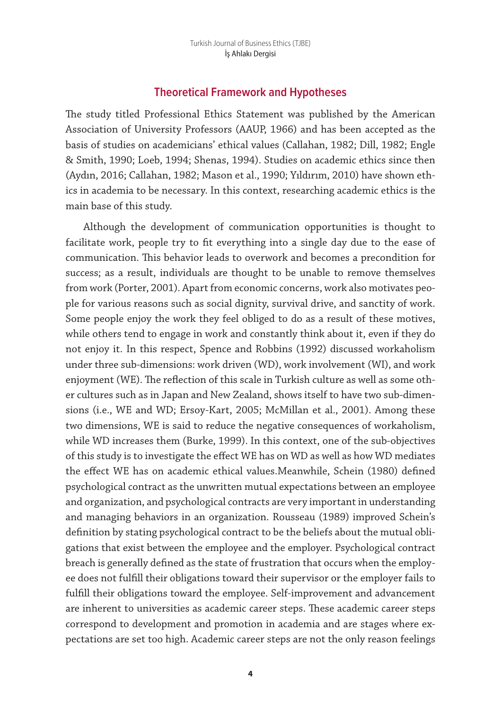# **Theoretical Framework and Hypotheses**

The study titled Professional Ethics Statement was published by the American Association of University Professors (AAUP, 1966) and has been accepted as the basis of studies on academicians' ethical values (Callahan, 1982; Dill, 1982; Engle & Smith, 1990; Loeb, 1994; Shenas, 1994). Studies on academic ethics since then (Aydın, 2016; Callahan, 1982; Mason et al., 1990; Yıldırım, 2010) have shown ethics in academia to be necessary. In this context, researching academic ethics is the main base of this study.

Although the development of communication opportunities is thought to facilitate work, people try to fit everything into a single day due to the ease of communication. This behavior leads to overwork and becomes a precondition for success; as a result, individuals are thought to be unable to remove themselves from work (Porter, 2001). Apart from economic concerns, work also motivates people for various reasons such as social dignity, survival drive, and sanctity of work. Some people enjoy the work they feel obliged to do as a result of these motives, while others tend to engage in work and constantly think about it, even if they do not enjoy it. In this respect, Spence and Robbins (1992) discussed workaholism under three sub-dimensions: work driven (WD), work involvement (WI), and work enjoyment (WE). The reflection of this scale in Turkish culture as well as some other cultures such as in Japan and New Zealand, shows itself to have two sub-dimensions (i.e., WE and WD; Ersoy-Kart, 2005; McMillan et al., 2001). Among these two dimensions, WE is said to reduce the negative consequences of workaholism, while WD increases them (Burke, 1999). In this context, one of the sub-objectives of this study is to investigate the effect WE has on WD as well as how WD mediates the effect WE has on academic ethical values.Meanwhile, Schein (1980) defined psychological contract as the unwritten mutual expectations between an employee and organization, and psychological contracts are very important in understanding and managing behaviors in an organization. Rousseau (1989) improved Schein's definition by stating psychological contract to be the beliefs about the mutual obligations that exist between the employee and the employer. Psychological contract breach is generally defined as the state of frustration that occurs when the employee does not fulfill their obligations toward their supervisor or the employer fails to fulfill their obligations toward the employee. Self-improvement and advancement are inherent to universities as academic career steps. These academic career steps correspond to development and promotion in academia and are stages where expectations are set too high. Academic career steps are not the only reason feelings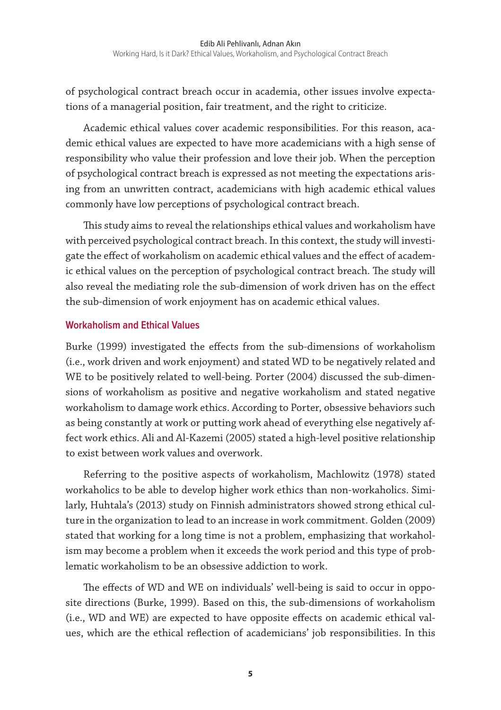of psychological contract breach occur in academia, other issues involve expectations of a managerial position, fair treatment, and the right to criticize.

Academic ethical values cover academic responsibilities. For this reason, academic ethical values are expected to have more academicians with a high sense of responsibility who value their profession and love their job. When the perception of psychological contract breach is expressed as not meeting the expectations arising from an unwritten contract, academicians with high academic ethical values commonly have low perceptions of psychological contract breach.

This study aims to reveal the relationships ethical values and workaholism have with perceived psychological contract breach. In this context, the study will investigate the effect of workaholism on academic ethical values and the effect of academic ethical values on the perception of psychological contract breach. The study will also reveal the mediating role the sub-dimension of work driven has on the effect the sub-dimension of work enjoyment has on academic ethical values.

#### **Workaholism and Ethical Values**

Burke (1999) investigated the effects from the sub-dimensions of workaholism (i.e., work driven and work enjoyment) and stated WD to be negatively related and WE to be positively related to well-being. Porter (2004) discussed the sub-dimensions of workaholism as positive and negative workaholism and stated negative workaholism to damage work ethics. According to Porter, obsessive behaviors such as being constantly at work or putting work ahead of everything else negatively affect work ethics. Ali and Al-Kazemi (2005) stated a high-level positive relationship to exist between work values and overwork.

Referring to the positive aspects of workaholism, Machlowitz (1978) stated workaholics to be able to develop higher work ethics than non-workaholics. Similarly, Huhtala's (2013) study on Finnish administrators showed strong ethical culture in the organization to lead to an increase in work commitment. Golden (2009) stated that working for a long time is not a problem, emphasizing that workaholism may become a problem when it exceeds the work period and this type of problematic workaholism to be an obsessive addiction to work.

The effects of WD and WE on individuals' well-being is said to occur in opposite directions (Burke, 1999). Based on this, the sub-dimensions of workaholism (i.e., WD and WE) are expected to have opposite effects on academic ethical values, which are the ethical reflection of academicians' job responsibilities. In this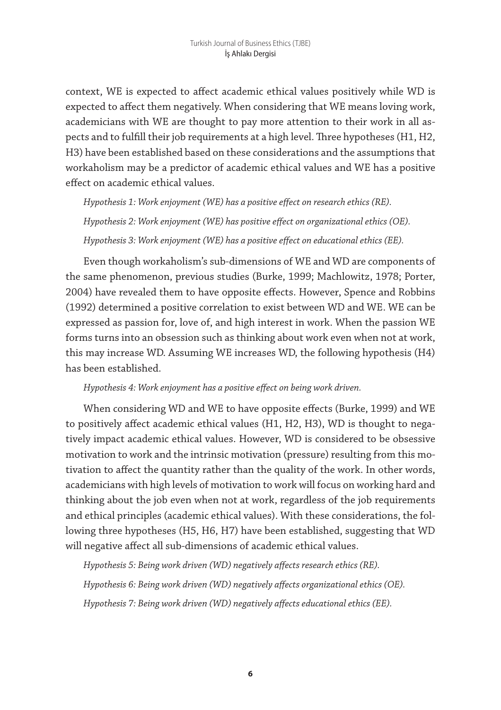context, WE is expected to affect academic ethical values positively while WD is expected to affect them negatively. When considering that WE means loving work, academicians with WE are thought to pay more attention to their work in all aspects and to fulfill their job requirements at a high level. Three hypotheses (H1, H2, H3) have been established based on these considerations and the assumptions that workaholism may be a predictor of academic ethical values and WE has a positive effect on academic ethical values.

*Hypothesis 1: Work enjoyment (WE) has a positive effect on research ethics (RE). Hypothesis 2: Work enjoyment (WE) has positive effect on organizational ethics (OE). Hypothesis 3: Work enjoyment (WE) has a positive effect on educational ethics (EE).*

Even though workaholism's sub-dimensions of WE and WD are components of the same phenomenon, previous studies (Burke, 1999; Machlowitz, 1978; Porter, 2004) have revealed them to have opposite effects. However, Spence and Robbins (1992) determined a positive correlation to exist between WD and WE. WE can be expressed as passion for, love of, and high interest in work. When the passion WE forms turns into an obsession such as thinking about work even when not at work, this may increase WD. Assuming WE increases WD, the following hypothesis (H4) has been established.

#### *Hypothesis 4: Work enjoyment has a positive effect on being work driven.*

When considering WD and WE to have opposite effects (Burke, 1999) and WE to positively affect academic ethical values (H1, H2, H3), WD is thought to negatively impact academic ethical values. However, WD is considered to be obsessive motivation to work and the intrinsic motivation (pressure) resulting from this motivation to affect the quantity rather than the quality of the work. In other words, academicians with high levels of motivation to work will focus on working hard and thinking about the job even when not at work, regardless of the job requirements and ethical principles (academic ethical values). With these considerations, the following three hypotheses (H5, H6, H7) have been established, suggesting that WD will negative affect all sub-dimensions of academic ethical values.

*Hypothesis 5: Being work driven (WD) negatively affects research ethics (RE). Hypothesis 6: Being work driven (WD) negatively affects organizational ethics (OE). Hypothesis 7: Being work driven (WD) negatively affects educational ethics (EE).*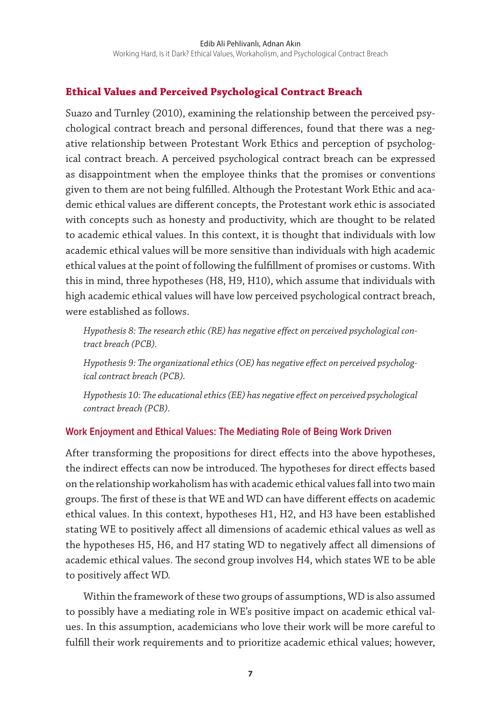# **Ethical Values and Perceived Psychological Contract Breach**

Suazo and Turnley (2010), examining the relationship between the perceived psychological contract breach and personal differences, found that there was a negative relationship between Protestant Work Ethics and perception of psychological contract breach. A perceived psychological contract breach can be expressed as disappointment when the employee thinks that the promises or conventions given to them are not being fulfilled. Although the Protestant Work Ethic and academic ethical values are different concepts, the Protestant work ethic is associated with concepts such as honesty and productivity, which are thought to be related to academic ethical values. In this context, it is thought that individuals with low academic ethical values will be more sensitive than individuals with high academic ethical values at the point of following the fulfillment of promises or customs. With this in mind, three hypotheses (H8, H9, H10), which assume that individuals with high academic ethical values will have low perceived psychological contract breach, were established as follows.

*Hypothesis 8: The research ethic (RE) has negative effect on perceived psychological contract breach (PCB).*

*Hypothesis 9: The organizational ethics (OE) has negative effect on perceived psychological contract breach (PCB).*

*Hypothesis 10: The educational ethics (EE) has negative effect on perceived psychological contract breach (PCB).*

# **Work Enjoyment and Ethical Values: The Mediating Role of Being Work Driven**

After transforming the propositions for direct effects into the above hypotheses, the indirect effects can now be introduced. The hypotheses for direct effects based on the relationship workaholism has with academic ethical values fall into two main groups. The first of these is that WE and WD can have different effects on academic ethical values. In this context, hypotheses H1, H2, and H3 have been established stating WE to positively affect all dimensions of academic ethical values as well as the hypotheses H5, H6, and H7 stating WD to negatively affect all dimensions of academic ethical values. The second group involves H4, which states WE to be able to positively affect WD.

Within the framework of these two groups of assumptions, WD is also assumed to possibly have a mediating role in WE's positive impact on academic ethical values. In this assumption, academicians who love their work will be more careful to fulfill their work requirements and to prioritize academic ethical values; however,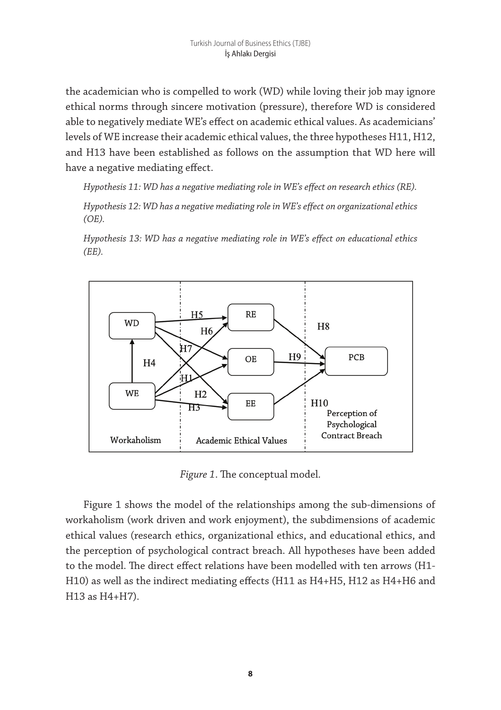the academician who is compelled to work (WD) while loving their job may ignore ethical norms through sincere motivation (pressure), therefore WD is considered able to negatively mediate WE's effect on academic ethical values. As academicians' levels of WE increase their academic ethical values, the three hypotheses H11, H12, and H13 have been established as follows on the assumption that WD here will have a negative mediating effect.

*Hypothesis 11: WD has a negative mediating role in WE's effect on research ethics (RE).*

*Hypothesis 12: WD has a negative mediating role in WE's effect on organizational ethics (OE).*

*Hypothesis 13: WD has a negative mediating role in WE's effect on educational ethics (EE).*



*Figure 1*. The conceptual model.

Figure 1 shows the model of the relationships among the sub-dimensions of workaholism (work driven and work enjoyment), the subdimensions of academic ethical values (research ethics, organizational ethics, and educational ethics, and the perception of psychological contract breach. All hypotheses have been added to the model. The direct effect relations have been modelled with ten arrows (H1- H10) as well as the indirect mediating effects (H11 as H4+H5, H12 as H4+H6 and H13 as H4+H7).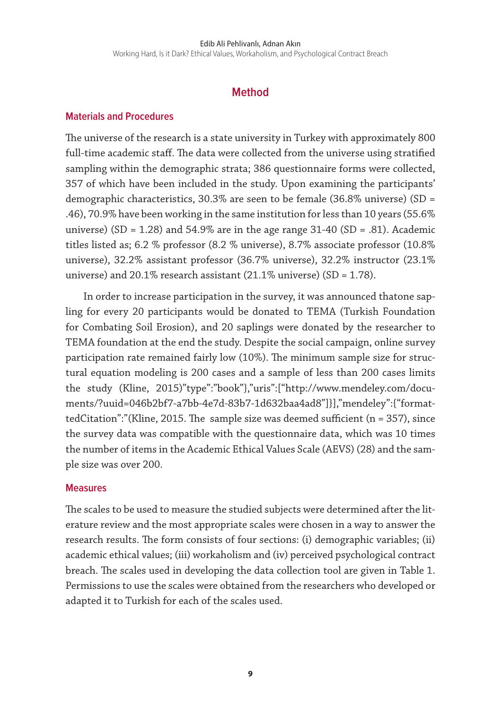#### Edib Ali Pehlivanlı, Adnan Akın

Working Hard, Is it Dark? Ethical Values, Workaholism, and Psychological Contract Breach

# **Method**

#### **Materials and Procedures**

The universe of the research is a state university in Turkey with approximately 800 full-time academic staff. The data were collected from the universe using stratified sampling within the demographic strata; 386 questionnaire forms were collected, 357 of which have been included in the study. Upon examining the participants' demographic characteristics, 30.3% are seen to be female (36.8% universe) (SD = .46), 70.9% have been working in the same institution for less than 10 years (55.6% universe) (SD =  $1.28$ ) and  $54.9\%$  are in the age range  $31-40$  (SD = .81). Academic titles listed as; 6.2 % professor (8.2 % universe), 8.7% associate professor (10.8% universe), 32.2% assistant professor (36.7% universe), 32.2% instructor (23.1% universe) and 20.1% research assistant (21.1% universe) (SD = 1.78).

In order to increase participation in the survey, it was announced thatone sapling for every 20 participants would be donated to TEMA (Turkish Foundation for Combating Soil Erosion), and 20 saplings were donated by the researcher to TEMA foundation at the end the study. Despite the social campaign, online survey participation rate remained fairly low (10%). The minimum sample size for structural equation modeling is 200 cases and a sample of less than 200 cases limits the study (Kline, 2015)"type":"book"},"uris":["http://www.mendeley.com/documents/?uuid=046b2bf7-a7bb-4e7d-83b7-1d632baa4ad8"]}],"mendeley":{"formattedCitation":"(Kline, 2015. The sample size was deemed sufficient ( $n = 357$ ), since the survey data was compatible with the questionnaire data, which was 10 times the number of items in the Academic Ethical Values Scale (AEVS) (28) and the sample size was over 200.

#### **Measures**

The scales to be used to measure the studied subjects were determined after the literature review and the most appropriate scales were chosen in a way to answer the research results. The form consists of four sections: (i) demographic variables; (ii) academic ethical values; (iii) workaholism and (iv) perceived psychological contract breach. The scales used in developing the data collection tool are given in Table 1. Permissions to use the scales were obtained from the researchers who developed or adapted it to Turkish for each of the scales used.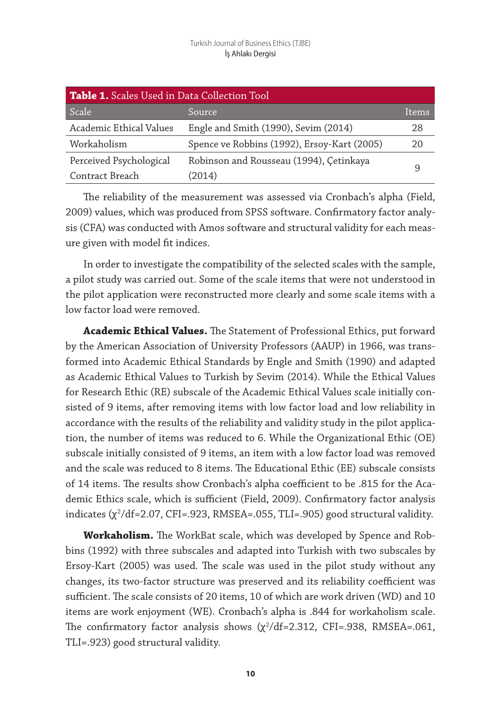| <b>Table 1.</b> Scales Used in Data Collection Tool |                                             |              |  |  |  |  |
|-----------------------------------------------------|---------------------------------------------|--------------|--|--|--|--|
| Scale                                               | Source                                      | <b>Items</b> |  |  |  |  |
| Academic Ethical Values                             | Engle and Smith (1990), Sevim (2014)        | 28           |  |  |  |  |
| Workaholism                                         | Spence ve Robbins (1992), Ersoy-Kart (2005) | 20           |  |  |  |  |
| Perceived Psychological                             | Robinson and Rousseau (1994), Çetinkaya     |              |  |  |  |  |
| Contract Breach                                     | (2014)                                      | 9            |  |  |  |  |

The reliability of the measurement was assessed via Cronbach's alpha (Field, 2009) values, which was produced from SPSS software. Confirmatory factor analysis (CFA) was conducted with Amos software and structural validity for each measure given with model fit indices.

In order to investigate the compatibility of the selected scales with the sample, a pilot study was carried out. Some of the scale items that were not understood in the pilot application were reconstructed more clearly and some scale items with a low factor load were removed.

**Academic Ethical Values.** The Statement of Professional Ethics, put forward by the American Association of University Professors (AAUP) in 1966, was transformed into Academic Ethical Standards by Engle and Smith (1990) and adapted as Academic Ethical Values to Turkish by Sevim (2014). While the Ethical Values for Research Ethic (RE) subscale of the Academic Ethical Values scale initially consisted of 9 items, after removing items with low factor load and low reliability in accordance with the results of the reliability and validity study in the pilot application, the number of items was reduced to 6. While the Organizational Ethic (OE) subscale initially consisted of 9 items, an item with a low factor load was removed and the scale was reduced to 8 items. The Educational Ethic (EE) subscale consists of 14 items. The results show Cronbach's alpha coefficient to be .815 for the Academic Ethics scale, which is sufficient (Field, 2009). Confirmatory factor analysis indicates (χ<sup>2</sup> /df=2.07, CFI=.923, RMSEA=.055, TLI=.905) good structural validity.

**Workaholism.** The WorkBat scale, which was developed by Spence and Robbins (1992) with three subscales and adapted into Turkish with two subscales by Ersoy-Kart (2005) was used. The scale was used in the pilot study without any changes, its two-factor structure was preserved and its reliability coefficient was sufficient. The scale consists of 20 items, 10 of which are work driven (WD) and 10 items are work enjoyment (WE). Cronbach's alpha is .844 for workaholism scale. The confirmatory factor analysis shows  $(\chi^2/\text{df}=2.312, \text{ CFI}=.938, \text{ RMSEA}=.061,$ TLI=.923) good structural validity.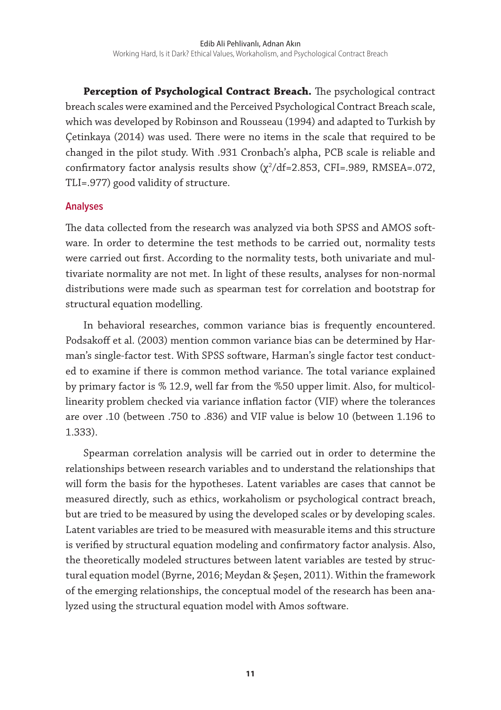**Perception of Psychological Contract Breach.** The psychological contract breach scales were examined and the Perceived Psychological Contract Breach scale, which was developed by Robinson and Rousseau (1994) and adapted to Turkish by Çetinkaya (2014) was used. There were no items in the scale that required to be changed in the pilot study. With .931 Cronbach's alpha, PCB scale is reliable and  $\text{confirmatory factor analysis results show } (\chi^2/\text{df} = 2.853, \text{ CFI} = .989, \text{ RMSEA} = .072,$ TLI=.977) good validity of structure.

#### **Analyses**

The data collected from the research was analyzed via both SPSS and AMOS software. In order to determine the test methods to be carried out, normality tests were carried out first. According to the normality tests, both univariate and multivariate normality are not met. In light of these results, analyses for non-normal distributions were made such as spearman test for correlation and bootstrap for structural equation modelling.

In behavioral researches, common variance bias is frequently encountered. Podsakoff et al. (2003) mention common variance bias can be determined by Harman's single-factor test. With SPSS software, Harman's single factor test conducted to examine if there is common method variance. The total variance explained by primary factor is % 12.9, well far from the %50 upper limit. Also, for multicollinearity problem checked via variance inflation factor (VIF) where the tolerances are over .10 (between .750 to .836) and VIF value is below 10 (between 1.196 to 1.333).

Spearman correlation analysis will be carried out in order to determine the relationships between research variables and to understand the relationships that will form the basis for the hypotheses. Latent variables are cases that cannot be measured directly, such as ethics, workaholism or psychological contract breach, but are tried to be measured by using the developed scales or by developing scales. Latent variables are tried to be measured with measurable items and this structure is verified by structural equation modeling and confirmatory factor analysis. Also, the theoretically modeled structures between latent variables are tested by structural equation model (Byrne, 2016; Meydan & Şeşen, 2011). Within the framework of the emerging relationships, the conceptual model of the research has been analyzed using the structural equation model with Amos software.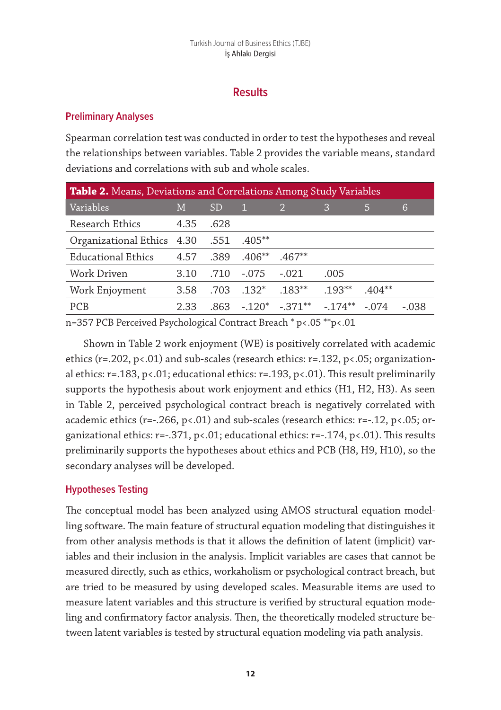# **Results**

# **Preliminary Analyses**

Spearman correlation test was conducted in order to test the hypotheses and reveal the relationships between variables. Table 2 provides the variable means, standard deviations and correlations with sub and whole scales.

| <b>Table 2.</b> Means, Deviations and Correlations Among Study Variables |      |      |           |                                             |          |          |         |  |  |
|--------------------------------------------------------------------------|------|------|-----------|---------------------------------------------|----------|----------|---------|--|--|
| Variables                                                                | M    | SD   | 41        |                                             | 3        | 5        | 6       |  |  |
| Research Ethics                                                          | 4.35 | .628 |           |                                             |          |          |         |  |  |
| 0rganizational Ethics 4.30 .551                                          |      |      | $.405***$ |                                             |          |          |         |  |  |
| Educational Ethics                                                       | 4.57 | .389 | $.406**$  | $.467**$                                    |          |          |         |  |  |
| Work Driven                                                              | 3.10 | .710 | $-.075$   | $-.021$                                     | .005     |          |         |  |  |
| Work Enjoyment                                                           | 3.58 | .703 | $.132*$   | $.183**$                                    | $.193**$ | $.404**$ |         |  |  |
| PCB                                                                      | 2.33 | .863 |           | $-.120^*$ $-.371^{**}$ $-.174^{**}$ $-.074$ |          |          | $-.038$ |  |  |

n=357 PCB Perceived Psychological Contract Breach \* p<.05 \*\*p<.01

Shown in Table 2 work enjoyment (WE) is positively correlated with academic ethics (r=.202, p<.01) and sub-scales (research ethics: r=.132, p<.05; organizational ethics:  $r=.183$ ,  $p<.01$ ; educational ethics:  $r=.193$ ,  $p<.01$ ). This result preliminarily supports the hypothesis about work enjoyment and ethics (H1, H2, H3). As seen in Table 2, perceived psychological contract breach is negatively correlated with academic ethics (r=-.266, p<.01) and sub-scales (research ethics: r=-.12, p<.05; organizational ethics:  $r=-371$ ,  $p<01$ ; educational ethics:  $r=-174$ ,  $p<01$ ). This results preliminarily supports the hypotheses about ethics and PCB (H8, H9, H10), so the secondary analyses will be developed.

# **Hypotheses Testing**

The conceptual model has been analyzed using AMOS structural equation modelling software. The main feature of structural equation modeling that distinguishes it from other analysis methods is that it allows the definition of latent (implicit) variables and their inclusion in the analysis. Implicit variables are cases that cannot be measured directly, such as ethics, workaholism or psychological contract breach, but are tried to be measured by using developed scales. Measurable items are used to measure latent variables and this structure is verified by structural equation modeling and confirmatory factor analysis. Then, the theoretically modeled structure between latent variables is tested by structural equation modeling via path analysis.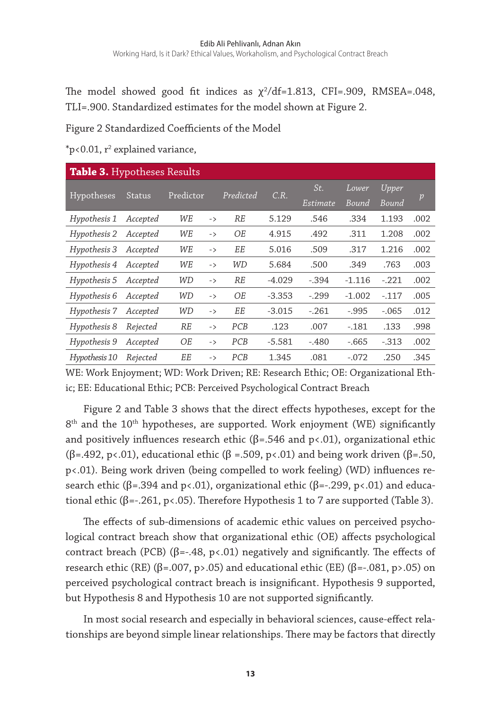The model showed good fit indices as  $\chi^2/\text{df}=1.813$ , CFI=.909, RMSEA=.048, TLI=.900. Standardized estimates for the model shown at Figure 2.

Figure 2 Standardized Coefficients of the Model

 $p<sub>0.01</sub>$ ,  $r<sup>2</sup>$  explained variance,

| <b>Table 3. Hypotheses Results</b> |               |           |               |            |          |          |          |              |      |
|------------------------------------|---------------|-----------|---------------|------------|----------|----------|----------|--------------|------|
| Hypotheses                         | <b>Status</b> | Predictor |               | Predicted  | C.R.     | St.      | Lower    | <b>Upper</b> |      |
|                                    |               |           |               |            |          | Estimate | Bound    | Bound        | p    |
| Hypothesis 1                       | Accepted      | WE        | $\rightarrow$ | <b>RE</b>  | 5.129    | .546     | .334     | 1.193        | .002 |
| Hypothesis 2                       | Accepted      | WE        | $\rightarrow$ | OE         | 4.915    | .492     | .311     | 1.208        | .002 |
| Hypothesis 3                       | Accepted      | WE        | $\rightarrow$ | EЕ         | 5.016    | .509     | .317     | 1.216        | .002 |
| Hypothesis 4                       | Accepted      | WE        | $\rightarrow$ | WD         | 5.684    | .500     | .349     | .763         | .003 |
| Hypothesis 5                       | Accepted      | WD        | $\rightarrow$ | RE         | $-4.029$ | $-.394$  | $-1.116$ | $-.221$      | .002 |
| Hypothesis 6                       | Accepted      | WD        | $\rightarrow$ | OE         | $-3.353$ | $-.299$  | $-1.002$ | $-.117$      | .005 |
| Hypothesis 7                       | Accepted      | WD        | $\rightarrow$ | EE         | $-3.015$ | $-.261$  | $-.995$  | $-.065$      | .012 |
| Hypothesis 8                       | Rejected      | <b>RE</b> | $\rightarrow$ | PCB        | .123     | .007     | $-181$   | .133         | .998 |
| Hypothesis 9                       | Accepted      | ОE        | $\rightarrow$ | PCB        | $-5.581$ | $-.480$  | $-.665$  | $-.313$      | .002 |
| Hypothesis 10                      | Rejected      | EЕ        | $\rightarrow$ | <b>PCB</b> | 1.345    | .081     | $-.072$  | .250         | .345 |

WE: Work Enjoyment; WD: Work Driven; RE: Research Ethic; OE: Organizational Ethic; EE: Educational Ethic; PCB: Perceived Psychological Contract Breach

Figure 2 and Table 3 shows that the direct effects hypotheses, except for the  $8<sup>th</sup>$  and the  $10<sup>th</sup>$  hypotheses, are supported. Work enjoyment (WE) significantly and positively influences research ethic ( $\beta$ =.546 and p<.01), organizational ethic ( $\beta$ =.492, p<.01), educational ethic ( $\beta$  =.509, p<.01) and being work driven ( $\beta$ =.50, p<.01). Being work driven (being compelled to work feeling) (WD) influences research ethic ( $\beta$ =.394 and p<.01), organizational ethic ( $\beta$ =-.299, p<.01) and educational ethic (β=-.261, p<.05). Therefore Hypothesis 1 to 7 are supported (Table 3).

The effects of sub-dimensions of academic ethic values on perceived psychological contract breach show that organizational ethic (OE) affects psychological contract breach (PCB) ( $\beta$ =-.48, p<.01) negatively and significantly. The effects of research ethic (RE) (β=.007, p>.05) and educational ethic (EE) (β=-.081, p>.05) on perceived psychological contract breach is insignificant. Hypothesis 9 supported, but Hypothesis 8 and Hypothesis 10 are not supported significantly.

In most social research and especially in behavioral sciences, cause-effect relationships are beyond simple linear relationships. There may be factors that directly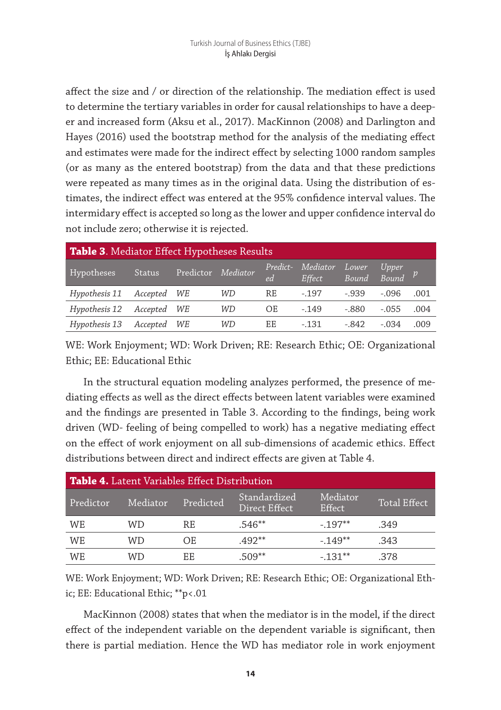affect the size and / or direction of the relationship. The mediation effect is used to determine the tertiary variables in order for causal relationships to have a deeper and increased form (Aksu et al., 2017). MacKinnon (2008) and Darlington and Hayes (2016) used the bootstrap method for the analysis of the mediating effect and estimates were made for the indirect effect by selecting 1000 random samples (or as many as the entered bootstrap) from the data and that these predictions were repeated as many times as in the original data. Using the distribution of estimates, the indirect effect was entered at the 95% confidence interval values. The intermidary effect is accepted so long as the lower and upper confidence interval do not include zero; otherwise it is rejected.

| Table 3. Mediator Effect Hypotheses Results |               |           |          |                |                    |                |                      |      |  |
|---------------------------------------------|---------------|-----------|----------|----------------|--------------------|----------------|----------------------|------|--|
| Hypotheses                                  | <b>Status</b> | Predictor | Mediator | Predict-<br>ed | Mediator<br>Effect | Lower<br>Bound | Upper<br>$Bound$ $p$ |      |  |
| Hypothesis 11                               | Accepted WE   |           | WD       | RE             | $-.197$            | $-.939$        | $-.096$              | .001 |  |
| Hypothesis 12                               | Accepted      | WE        | WD       | OE             | $-149$             | $-.880$        | $-.055$              | .004 |  |
| Hypothesis 13                               | Accepted      | WE        | WD       | ЕE             | $-131$             | - 842          | $-.034$              | .009 |  |

WE: Work Enjoyment; WD: Work Driven; RE: Research Ethic; OE: Organizational Ethic; EE: Educational Ethic

In the structural equation modeling analyzes performed, the presence of mediating effects as well as the direct effects between latent variables were examined and the findings are presented in Table 3. According to the findings, being work driven (WD- feeling of being compelled to work) has a negative mediating effect on the effect of work enjoyment on all sub-dimensions of academic ethics. Effect distributions between direct and indirect effects are given at Table 4.

| <b>Table 4.</b> Latent Variables Effect Distribution |          |           |                               |                    |                     |  |  |  |  |
|------------------------------------------------------|----------|-----------|-------------------------------|--------------------|---------------------|--|--|--|--|
| Predictor                                            | Mediator | Predicted | Standardized<br>Direct Effect | Mediator<br>Effect | <b>Total Effect</b> |  |  |  |  |
| WE                                                   | WD       | RF.       | $.546**$                      | $-197**$           | .349                |  |  |  |  |
| WE                                                   | WD       | OE.       | $.492**$                      | $-149**$           | .343                |  |  |  |  |
| WE                                                   | WD       | EE.       | $.509**$                      | $-131**$           | .378                |  |  |  |  |

WE: Work Enjoyment; WD: Work Driven; RE: Research Ethic; OE: Organizational Ethic; EE: Educational Ethic; \*\*p<.01

MacKinnon (2008) states that when the mediator is in the model, if the direct effect of the independent variable on the dependent variable is significant, then there is partial mediation. Hence the WD has mediator role in work enjoyment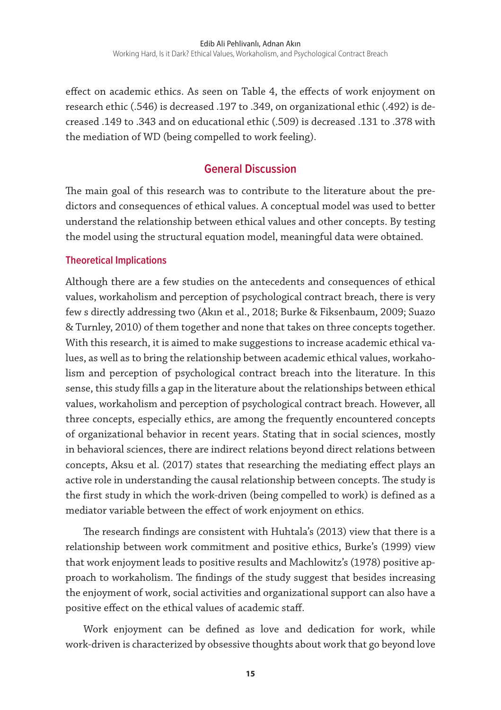effect on academic ethics. As seen on Table 4, the effects of work enjoyment on research ethic (.546) is decreased .197 to .349, on organizational ethic (.492) is decreased .149 to .343 and on educational ethic (.509) is decreased .131 to .378 with the mediation of WD (being compelled to work feeling).

# **General Discussion**

The main goal of this research was to contribute to the literature about the predictors and consequences of ethical values. A conceptual model was used to better understand the relationship between ethical values and other concepts. By testing the model using the structural equation model, meaningful data were obtained.

# **Theoretical Implications**

Although there are a few studies on the antecedents and consequences of ethical values, workaholism and perception of psychological contract breach, there is very few s directly addressing two (Akın et al., 2018; Burke & Fiksenbaum, 2009; Suazo & Turnley, 2010) of them together and none that takes on three concepts together. With this research, it is aimed to make suggestions to increase academic ethical values, as well as to bring the relationship between academic ethical values, workaholism and perception of psychological contract breach into the literature. In this sense, this study fills a gap in the literature about the relationships between ethical values, workaholism and perception of psychological contract breach. However, all three concepts, especially ethics, are among the frequently encountered concepts of organizational behavior in recent years. Stating that in social sciences, mostly in behavioral sciences, there are indirect relations beyond direct relations between concepts, Aksu et al. (2017) states that researching the mediating effect plays an active role in understanding the causal relationship between concepts. The study is the first study in which the work-driven (being compelled to work) is defined as a mediator variable between the effect of work enjoyment on ethics.

The research findings are consistent with Huhtala's (2013) view that there is a relationship between work commitment and positive ethics, Burke's (1999) view that work enjoyment leads to positive results and Machlowitz's (1978) positive approach to workaholism. The findings of the study suggest that besides increasing the enjoyment of work, social activities and organizational support can also have a positive effect on the ethical values of academic staff.

Work enjoyment can be defined as love and dedication for work, while work-driven is characterized by obsessive thoughts about work that go beyond love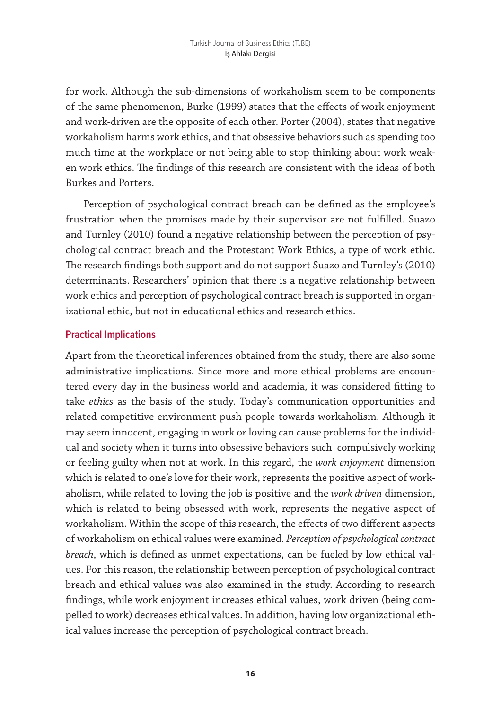for work. Although the sub-dimensions of workaholism seem to be components of the same phenomenon, Burke (1999) states that the effects of work enjoyment and work-driven are the opposite of each other. Porter (2004), states that negative workaholism harms work ethics, and that obsessive behaviors such as spending too much time at the workplace or not being able to stop thinking about work weaken work ethics. The findings of this research are consistent with the ideas of both Burkes and Porters.

Perception of psychological contract breach can be defined as the employee's frustration when the promises made by their supervisor are not fulfilled. Suazo and Turnley (2010) found a negative relationship between the perception of psychological contract breach and the Protestant Work Ethics, a type of work ethic. The research findings both support and do not support Suazo and Turnley's (2010) determinants. Researchers' opinion that there is a negative relationship between work ethics and perception of psychological contract breach is supported in organizational ethic, but not in educational ethics and research ethics.

# **Practical Implications**

Apart from the theoretical inferences obtained from the study, there are also some administrative implications. Since more and more ethical problems are encountered every day in the business world and academia, it was considered fitting to take *ethics* as the basis of the study. Today's communication opportunities and related competitive environment push people towards workaholism. Although it may seem innocent, engaging in work or loving can cause problems for the individual and society when it turns into obsessive behaviors such compulsively working or feeling guilty when not at work. In this regard, the *work enjoyment* dimension which is related to one's love for their work, represents the positive aspect of workaholism, while related to loving the job is positive and the *work driven* dimension, which is related to being obsessed with work, represents the negative aspect of workaholism. Within the scope of this research, the effects of two different aspects of workaholism on ethical values were examined. *Perception of psychological contract breach*, which is defined as unmet expectations, can be fueled by low ethical values. For this reason, the relationship between perception of psychological contract breach and ethical values was also examined in the study. According to research findings, while work enjoyment increases ethical values, work driven (being compelled to work) decreases ethical values. In addition, having low organizational ethical values increase the perception of psychological contract breach.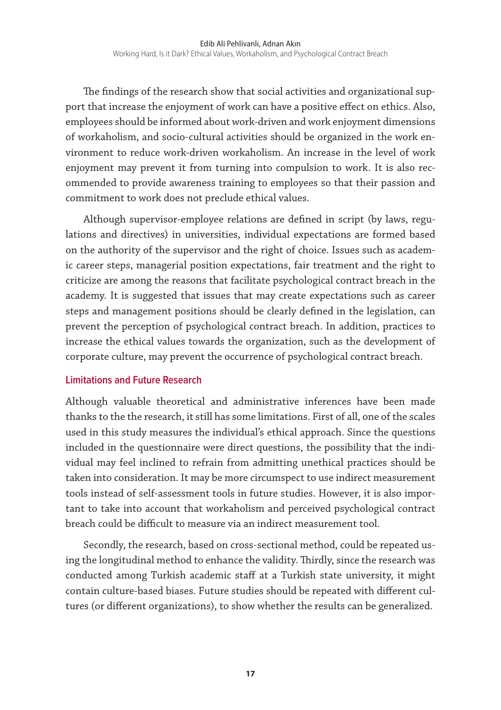The findings of the research show that social activities and organizational support that increase the enjoyment of work can have a positive effect on ethics. Also, employees should be informed about work-driven and work enjoyment dimensions of workaholism, and socio-cultural activities should be organized in the work environment to reduce work-driven workaholism. An increase in the level of work enjoyment may prevent it from turning into compulsion to work. It is also recommended to provide awareness training to employees so that their passion and commitment to work does not preclude ethical values.

Although supervisor-employee relations are defined in script (by laws, regulations and directives) in universities, individual expectations are formed based on the authority of the supervisor and the right of choice. Issues such as academic career steps, managerial position expectations, fair treatment and the right to criticize are among the reasons that facilitate psychological contract breach in the academy. It is suggested that issues that may create expectations such as career steps and management positions should be clearly defined in the legislation, can prevent the perception of psychological contract breach. In addition, practices to increase the ethical values towards the organization, such as the development of corporate culture, may prevent the occurrence of psychological contract breach.

#### **Limitations and Future Research**

Although valuable theoretical and administrative inferences have been made thanks to the the research, it still has some limitations. First of all, one of the scales used in this study measures the individual's ethical approach. Since the questions included in the questionnaire were direct questions, the possibility that the individual may feel inclined to refrain from admitting unethical practices should be taken into consideration. It may be more circumspect to use indirect measurement tools instead of self-assessment tools in future studies. However, it is also important to take into account that workaholism and perceived psychological contract breach could be difficult to measure via an indirect measurement tool.

Secondly, the research, based on cross-sectional method, could be repeated using the longitudinal method to enhance the validity. Thirdly, since the research was conducted among Turkish academic staff at a Turkish state university, it might contain culture-based biases. Future studies should be repeated with different cultures (or different organizations), to show whether the results can be generalized.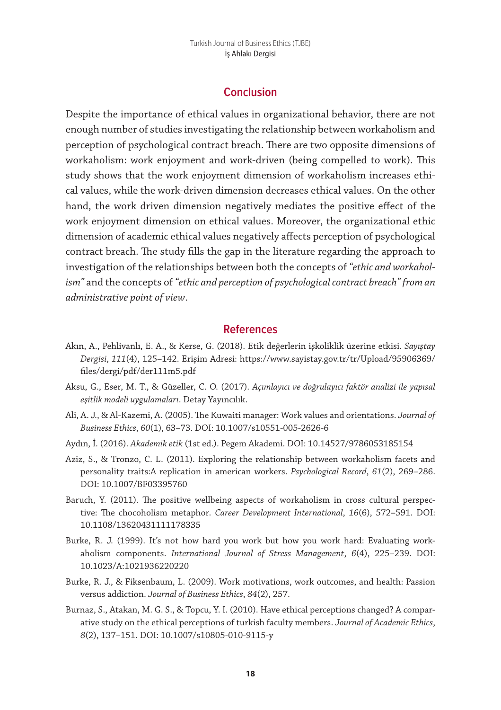## **Conclusion**

Despite the importance of ethical values in organizational behavior, there are not enough number of studies investigating the relationship between workaholism and perception of psychological contract breach. There are two opposite dimensions of workaholism: work enjoyment and work-driven (being compelled to work). This study shows that the work enjoyment dimension of workaholism increases ethical values, while the work-driven dimension decreases ethical values. On the other hand, the work driven dimension negatively mediates the positive effect of the work enjoyment dimension on ethical values. Moreover, the organizational ethic dimension of academic ethical values negatively affects perception of psychological contract breach. The study fills the gap in the literature regarding the approach to investigation of the relationships between both the concepts of *"ethic and workaholism"* and the concepts of *"ethic and perception of psychological contract breach" from an administrative point of view*.

#### **References**

- Akın, A., Pehlivanlı, E. A., & Kerse, G. (2018). Etik değerlerin işkoliklik üzerine etkisi. *Sayıştay Dergisi*, *111*(4), 125–142. Erişim Adresi: https://www.sayistay.gov.tr/tr/Upload/95906369/ files/dergi/pdf/der111m5.pdf
- Aksu, G., Eser, M. T., & Güzeller, C. O. (2017). *Açımlayıcı ve doğrulayıcı faktör analizi ile yapısal eşitlik modeli uygulamaları*. Detay Yayıncılık.
- Ali, A. J., & Al-Kazemi, A. (2005). The Kuwaiti manager: Work values and orientations. *Journal of Business Ethics*, *60*(1), 63–73. DOI: 10.1007/s10551-005-2626-6
- Aydın, İ. (2016). *Akademik etik* (1st ed.). Pegem Akademi. DOI: 10.14527/9786053185154
- Aziz, S., & Tronzo, C. L. (2011). Exploring the relationship between workaholism facets and personality traits:A replication in american workers. *Psychological Record*, *61*(2), 269–286. DOI: 10.1007/BF03395760
- Baruch, Y. (2011). The positive wellbeing aspects of workaholism in cross cultural perspective: The chocoholism metaphor. *Career Development International*, *16*(6), 572–591. DOI: 10.1108/13620431111178335
- Burke, R. J. (1999). It's not how hard you work but how you work hard: Evaluating workaholism components. *International Journal of Stress Management*, *6*(4), 225–239. DOI: 10.1023/A:1021936220220
- Burke, R. J., & Fiksenbaum, L. (2009). Work motivations, work outcomes, and health: Passion versus addiction. *Journal of Business Ethics*, *84*(2), 257.
- Burnaz, S., Atakan, M. G. S., & Topcu, Y. I. (2010). Have ethical perceptions changed? A comparative study on the ethical perceptions of turkish faculty members. *Journal of Academic Ethics*, *8*(2), 137–151. DOI: 10.1007/s10805-010-9115-y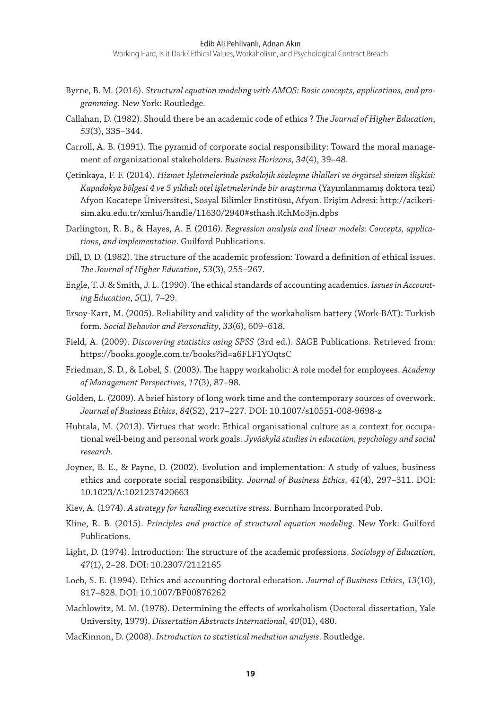Working Hard, Is it Dark? Ethical Values, Workaholism, and Psychological Contract Breach

- Byrne, B. M. (2016). *Structural equation modeling with AMOS: Basic concepts, applications, and programming*. New York: Routledge.
- Callahan, D. (1982). Should there be an academic code of ethics ? *The Journal of Higher Education*, *53*(3), 335–344.
- Carroll, A. B. (1991). The pyramid of corporate social responsibility: Toward the moral management of organizational stakeholders. *Business Horizons*, *34*(4), 39–48.
- Çetinkaya, F. F. (2014). *Hizmet İşletmelerinde psikolojik sözleşme ihlalleri ve örgütsel sinizm ilişkisi: Kapadokya bölgesi 4 ve 5 yıldızlı otel işletmelerinde bir araştırma* (Yayımlanmamış doktora tezi) Afyon Kocatepe Üniversitesi, Sosyal Bilimler Enstitüsü, Afyon. Erişim Adresi: http://acikerisim.aku.edu.tr/xmlui/handle/11630/2940#sthash.RchMo3jn.dpbs
- Darlington, R. B., & Hayes, A. F. (2016). *Regression analysis and linear models: Concepts, applications, and implementation*. Guilford Publications.
- Dill, D. D. (1982). The structure of the academic profession: Toward a definition of ethical issues. *The Journal of Higher Education*, *53*(3), 255–267.
- Engle, T. J. & Smith, J. L. (1990). The ethical standards of accounting academics. *Issues in Accounting Education*, *5*(1), 7–29.
- Ersoy-Kart, M. (2005). Reliability and validity of the workaholism battery (Work-BAT): Turkish form. *Social Behavior and Personality*, *33*(6), 609–618.
- Field, A. (2009). *Discovering statistics using SPSS* (3rd ed.). SAGE Publications. Retrieved from: https://books.google.com.tr/books?id=a6FLF1YOqtsC
- Friedman, S. D., & Lobel, S. (2003). The happy workaholic: A role model for employees. *Academy of Management Perspectives*, *17*(3), 87–98.
- Golden, L. (2009). A brief history of long work time and the contemporary sources of overwork. *Journal of Business Ethics*, *84*(S2), 217–227. DOI: 10.1007/s10551-008-9698-z
- Huhtala, M. (2013). Virtues that work: Ethical organisational culture as a context for occupational well-being and personal work goals. *Jyväskylä studies in education, psychology and social research.*
- Joyner, B. E., & Payne, D. (2002). Evolution and implementation: A study of values, business ethics and corporate social responsibility. *Journal of Business Ethics*, *41*(4), 297–311. DOI: 10.1023/A:1021237420663
- Kiev, A. (1974). *A strategy for handling executive stress*. Burnham Incorporated Pub.
- Kline, R. B. (2015). *Principles and practice of structural equation modeling*. New York: Guilford Publications.
- Light, D. (1974). Introduction: The structure of the academic professions. *Sociology of Education*, *47*(1), 2–28. DOI: 10.2307/2112165
- Loeb, S. E. (1994). Ethics and accounting doctoral education. *Journal of Business Ethics*, *13*(10), 817–828. DOI: 10.1007/BF00876262
- Machlowitz, M. M. (1978). Determining the effects of workaholism (Doctoral dissertation, Yale University, 1979). *Dissertation Abstracts International*, *40*(01), 480.
- MacKinnon, D. (2008). *Introduction to statistical mediation analysis*. Routledge.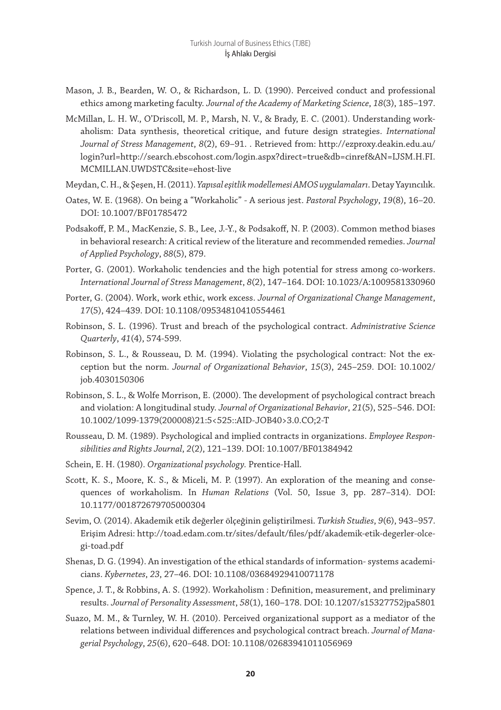- Mason, J. B., Bearden, W. O., & Richardson, L. D. (1990). Perceived conduct and professional ethics among marketing faculty. *Journal of the Academy of Marketing Science*, *18*(3), 185–197.
- McMillan, L. H. W., O'Driscoll, M. P., Marsh, N. V., & Brady, E. C. (2001). Understanding workaholism: Data synthesis, theoretical critique, and future design strategies. *International Journal of Stress Management*, *8*(2), 69–91. . Retrieved from: http://ezproxy.deakin.edu.au/ login?url=http://search.ebscohost.com/login.aspx?direct=true&db=cinref&AN=IJSM.H.FI. MCMILLAN.UWDSTC&site=ehost-live
- Meydan, C. H., & Şeşen, H. (2011). *Yapısal eşitlik modellemesi AMOS uygulamaları*. Detay Yayıncılık.
- Oates, W. E. (1968). On being a "Workaholic" A serious jest. *Pastoral Psychology*, *19*(8), 16–20. DOI: 10.1007/BF01785472
- Podsakoff, P. M., MacKenzie, S. B., Lee, J.-Y., & Podsakoff, N. P. (2003). Common method biases in behavioral research: A critical review of the literature and recommended remedies. *Journal of Applied Psychology*, *88*(5), 879.
- Porter, G. (2001). Workaholic tendencies and the high potential for stress among co-workers. *International Journal of Stress Management*, *8*(2), 147–164. DOI: 10.1023/A:1009581330960
- Porter, G. (2004). Work, work ethic, work excess. *Journal of Organizational Change Management*, *17*(5), 424–439. DOI: 10.1108/09534810410554461
- Robinson, S. L. (1996). Trust and breach of the psychological contract. *Administrative Science Quarterly*, *41*(4), 574-599.
- Robinson, S. L., & Rousseau, D. M. (1994). Violating the psychological contract: Not the exception but the norm. *Journal of Organizational Behavior*, *15*(3), 245–259. DOI: 10.1002/ job.4030150306
- Robinson, S. L., & Wolfe Morrison, E. (2000). The development of psychological contract breach and violation: A longitudinal study. *Journal of Organizational Behavior*, *21*(5), 525–546. DOI: 10.1002/1099-1379(200008)21:5<525::AID-JOB40>3.0.CO;2-T
- Rousseau, D. M. (1989). Psychological and implied contracts in organizations. *Employee Responsibilities and Rights Journal*, *2*(2), 121–139. DOI: 10.1007/BF01384942
- Schein, E. H. (1980). *Organizational psychology.* Prentice-Hall.
- Scott, K. S., Moore, K. S., & Miceli, M. P. (1997). An exploration of the meaning and consequences of workaholism. In *Human Relations* (Vol. 50, Issue 3, pp. 287–314). DOI: 10.1177/001872679705000304
- Sevim, O. (2014). Akademik etik değerler ölçeğinin geliştirilmesi. *Turkish Studies*, *9*(6), 943–957. Erişim Adresi: http://toad.edam.com.tr/sites/default/files/pdf/akademik-etik-degerler-olcegi-toad.pdf
- Shenas, D. G. (1994). An investigation of the ethical standards of information- systems academicians. *Kybernetes*, *23*, 27–46. DOI: 10.1108/03684929410071178
- Spence, J. T., & Robbins, A. S. (1992). Workaholism : Definition, measurement, and preliminary results. *Journal of Personality Assessment*, *58*(1), 160–178. DOI: 10.1207/s15327752jpa5801
- Suazo, M. M., & Turnley, W. H. (2010). Perceived organizational support as a mediator of the relations between individual differences and psychological contract breach. *Journal of Managerial Psychology*, *25*(6), 620–648. DOI: 10.1108/02683941011056969